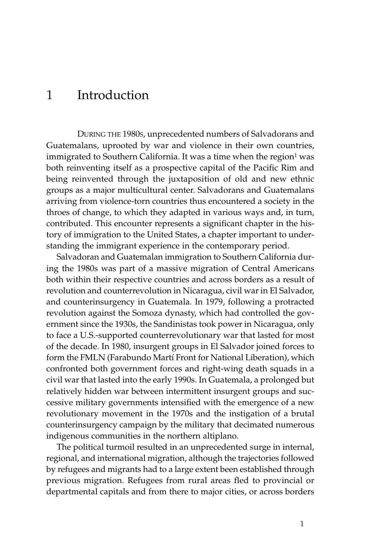# 1 Introduction

DURING THE 1980S, unprecedented numbers of Salvadorans and Guatemalans, uprooted by war and violence in their own countries, immigrated to Southern California. It was a time when the region<sup>1</sup> was both reinventing itself as a prospective capital of the Pacific Rim and being reinvented through the juxtaposition of old and new ethnic groups as a major multicultural center. Salvadorans and Guatemalans arriving from violence-torn countries thus encountered a society in the throes of change, to which they adapted in various ways and, in turn, contributed. This encounter represents a significant chapter in the history of immigration to the United States, a chapter important to understanding the immigrant experience in the contemporary period.

Salvadoran and Guatemalan immigration to Southern California during the 1980s was part of a massive migration of Central Americans both within their respective countries and across borders as a result of revolution and counterrevolution in Nicaragua, civil war in El Salvador, and counterinsurgency in Guatemala. In 1979, following a protracted revolution against the Somoza dynasty, which had controlled the government since the 1930s, the Sandinistas took power in Nicaragua, only to face a U.S.-supported counterrevolutionary war that lasted for most of the decade. In 1980, insurgent groups in El Salvador joined forces to form the FMLN (Farabundo Martí Front for National Liberation), which confronted both government forces and right-wing death squads in a civil war that lasted into the early 1990s. In Guatemala, a prolonged but relatively hidden war between intermittent insurgent groups and successive military governments intensified with the emergence of a new revolutionary movement in the 1970s and the instigation of a brutal counterinsurgency campaign by the military that decimated numerous indigenous communities in the northern altiplano.

The political turmoil resulted in an unprecedented surge in internal, regional, and international migration, although the trajectories followed by refugees and migrants had to a large extent been established through previous migration. Refugees from rural areas fled to provincial or departmental capitals and from there to major cities, or across borders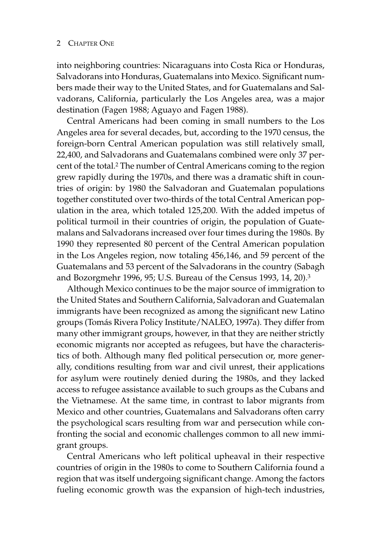into neighboring countries: Nicaraguans into Costa Rica or Honduras, Salvadorans into Honduras, Guatemalans into Mexico. Significant numbers made their way to the United States, and for Guatemalans and Salvadorans, California, particularly the Los Angeles area, was a major destination (Fagen 1988; Aguayo and Fagen 1988).

Central Americans had been coming in small numbers to the Los Angeles area for several decades, but, according to the 1970 census, the foreign-born Central American population was still relatively small, 22,400, and Salvadorans and Guatemalans combined were only 37 percent of the total.2 The number of Central Americans coming to the region grew rapidly during the 1970s, and there was a dramatic shift in countries of origin: by 1980 the Salvadoran and Guatemalan populations together constituted over two-thirds of the total Central American population in the area, which totaled 125,200. With the added impetus of political turmoil in their countries of origin, the population of Guatemalans and Salvadorans increased over four times during the 1980s. By 1990 they represented 80 percent of the Central American population in the Los Angeles region, now totaling 456,146, and 59 percent of the Guatemalans and 53 percent of the Salvadorans in the country (Sabagh and Bozorgmehr 1996, 95; U.S. Bureau of the Census 1993, 14, 20).3

Although Mexico continues to be the major source of immigration to the United States and Southern California, Salvadoran and Guatemalan immigrants have been recognized as among the significant new Latino groups (Tomás Rivera Policy Institute/NALEO, 1997a). They differ from many other immigrant groups, however, in that they are neither strictly economic migrants nor accepted as refugees, but have the characteristics of both. Although many fled political persecution or, more generally, conditions resulting from war and civil unrest, their applications for asylum were routinely denied during the 1980s, and they lacked access to refugee assistance available to such groups as the Cubans and the Vietnamese. At the same time, in contrast to labor migrants from Mexico and other countries, Guatemalans and Salvadorans often carry the psychological scars resulting from war and persecution while confronting the social and economic challenges common to all new immigrant groups.

Central Americans who left political upheaval in their respective countries of origin in the 1980s to come to Southern California found a region that was itself undergoing significant change. Among the factors fueling economic growth was the expansion of high-tech industries,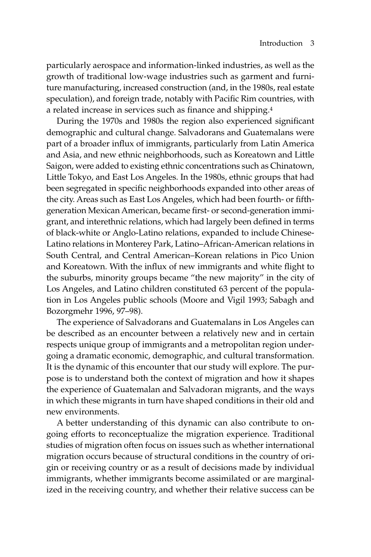particularly aerospace and information-linked industries, as well as the growth of traditional low-wage industries such as garment and furniture manufacturing, increased construction (and, in the 1980s, real estate speculation), and foreign trade, notably with Pacific Rim countries, with a related increase in services such as finance and shipping.4

During the 1970s and 1980s the region also experienced significant demographic and cultural change. Salvadorans and Guatemalans were part of a broader influx of immigrants, particularly from Latin America and Asia, and new ethnic neighborhoods, such as Koreatown and Little Saigon, were added to existing ethnic concentrations such as Chinatown, Little Tokyo, and East Los Angeles. In the 1980s, ethnic groups that had been segregated in specific neighborhoods expanded into other areas of the city. Areas such as East Los Angeles, which had been fourth- or fifthgeneration Mexican American, became first- or second-generation immigrant, and interethnic relations, which had largely been defined in terms of black-white or Anglo-Latino relations, expanded to include Chinese-Latino relations in Monterey Park, Latino–African-American relations in South Central, and Central American–Korean relations in Pico Union and Koreatown. With the influx of new immigrants and white flight to the suburbs, minority groups became "the new majority" in the city of Los Angeles, and Latino children constituted 63 percent of the population in Los Angeles public schools (Moore and Vigil 1993; Sabagh and Bozorgmehr 1996, 97–98).

The experience of Salvadorans and Guatemalans in Los Angeles can be described as an encounter between a relatively new and in certain respects unique group of immigrants and a metropolitan region undergoing a dramatic economic, demographic, and cultural transformation. It is the dynamic of this encounter that our study will explore. The purpose is to understand both the context of migration and how it shapes the experience of Guatemalan and Salvadoran migrants, and the ways in which these migrants in turn have shaped conditions in their old and new environments.

A better understanding of this dynamic can also contribute to ongoing efforts to reconceptualize the migration experience. Traditional studies of migration often focus on issues such as whether international migration occurs because of structural conditions in the country of origin or receiving country or as a result of decisions made by individual immigrants, whether immigrants become assimilated or are marginalized in the receiving country, and whether their relative success can be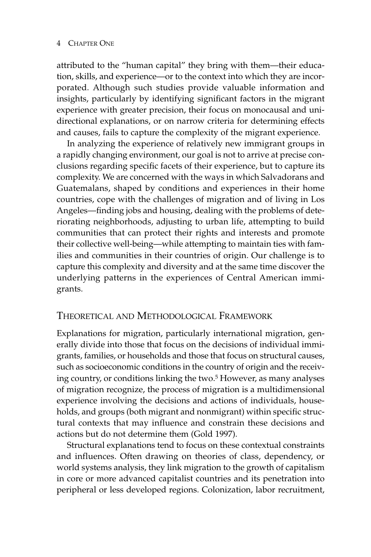attributed to the "human capital" they bring with them—their education, skills, and experience—or to the context into which they are incorporated. Although such studies provide valuable information and insights, particularly by identifying significant factors in the migrant experience with greater precision, their focus on monocausal and unidirectional explanations, or on narrow criteria for determining effects and causes, fails to capture the complexity of the migrant experience.

In analyzing the experience of relatively new immigrant groups in a rapidly changing environment, our goal is not to arrive at precise conclusions regarding specific facets of their experience, but to capture its complexity. We are concerned with the ways in which Salvadorans and Guatemalans, shaped by conditions and experiences in their home countries, cope with the challenges of migration and of living in Los Angeles—finding jobs and housing, dealing with the problems of deteriorating neighborhoods, adjusting to urban life, attempting to build communities that can protect their rights and interests and promote their collective well-being—while attempting to maintain ties with families and communities in their countries of origin. Our challenge is to capture this complexity and diversity and at the same time discover the underlying patterns in the experiences of Central American immigrants.

### THEORETICAL AND METHODOLOGICAL FRAMEWORK

Explanations for migration, particularly international migration, generally divide into those that focus on the decisions of individual immigrants, families, or households and those that focus on structural causes, such as socioeconomic conditions in the country of origin and the receiving country, or conditions linking the two.<sup>5</sup> However, as many analyses of migration recognize, the process of migration is a multidimensional experience involving the decisions and actions of individuals, households, and groups (both migrant and nonmigrant) within specific structural contexts that may influence and constrain these decisions and actions but do not determine them (Gold 1997).

Structural explanations tend to focus on these contextual constraints and influences. Often drawing on theories of class, dependency, or world systems analysis, they link migration to the growth of capitalism in core or more advanced capitalist countries and its penetration into peripheral or less developed regions. Colonization, labor recruitment,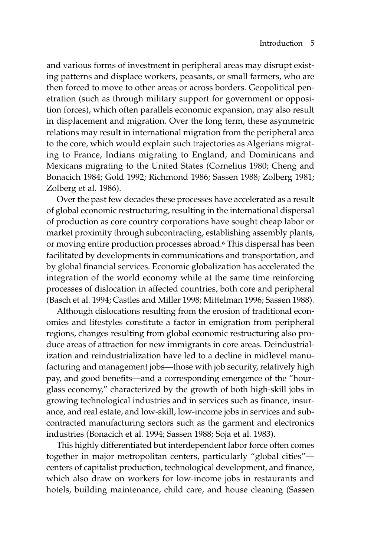and various forms of investment in peripheral areas may disrupt existing patterns and displace workers, peasants, or small farmers, who are then forced to move to other areas or across borders. Geopolitical penetration (such as through military support for government or opposition forces), which often parallels economic expansion, may also result in displacement and migration. Over the long term, these asymmetric relations may result in international migration from the peripheral area to the core, which would explain such trajectories as Algerians migrating to France, Indians migrating to England, and Dominicans and Mexicans migrating to the United States (Cornelius 1980; Cheng and Bonacich 1984; Gold 1992; Richmond 1986; Sassen 1988; Zolberg 1981; Zolberg et al. 1986).

Over the past few decades these processes have accelerated as a result of global economic restructuring, resulting in the international dispersal of production as core country corporations have sought cheap labor or market proximity through subcontracting, establishing assembly plants, or moving entire production processes abroad.6 This dispersal has been facilitated by developments in communications and transportation, and by global financial services. Economic globalization has accelerated the integration of the world economy while at the same time reinforcing processes of dislocation in affected countries, both core and peripheral (Basch et al. 1994; Castles and Miller 1998; Mittelman 1996; Sassen 1988).

Although dislocations resulting from the erosion of traditional economies and lifestyles constitute a factor in emigration from peripheral regions, changes resulting from global economic restructuring also produce areas of attraction for new immigrants in core areas. Deindustrialization and reindustrialization have led to a decline in midlevel manufacturing and management jobs—those with job security, relatively high pay, and good benefits—and a corresponding emergence of the "hourglass economy," characterized by the growth of both high-skill jobs in growing technological industries and in services such as finance, insurance, and real estate, and low-skill, low-income jobs in services and subcontracted manufacturing sectors such as the garment and electronics industries (Bonacich et al. 1994; Sassen 1988; Soja et al. 1983).

This highly differentiated but interdependent labor force often comes together in major metropolitan centers, particularly "global cities" centers of capitalist production, technological development, and finance, which also draw on workers for low-income jobs in restaurants and hotels, building maintenance, child care, and house cleaning (Sassen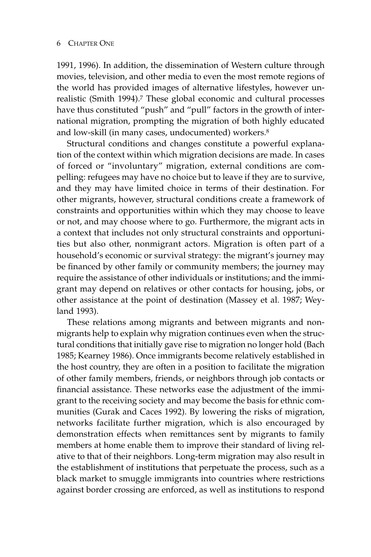1991, 1996). In addition, the dissemination of Western culture through movies, television, and other media to even the most remote regions of the world has provided images of alternative lifestyles, however unrealistic (Smith 1994).7 These global economic and cultural processes have thus constituted "push" and "pull" factors in the growth of international migration, prompting the migration of both highly educated and low-skill (in many cases, undocumented) workers.8

Structural conditions and changes constitute a powerful explanation of the context within which migration decisions are made. In cases of forced or "involuntary" migration, external conditions are compelling: refugees may have no choice but to leave if they are to survive, and they may have limited choice in terms of their destination. For other migrants, however, structural conditions create a framework of constraints and opportunities within which they may choose to leave or not, and may choose where to go. Furthermore, the migrant acts in a context that includes not only structural constraints and opportunities but also other, nonmigrant actors. Migration is often part of a household's economic or survival strategy: the migrant's journey may be financed by other family or community members; the journey may require the assistance of other individuals or institutions; and the immigrant may depend on relatives or other contacts for housing, jobs, or other assistance at the point of destination (Massey et al. 1987; Weyland 1993).

These relations among migrants and between migrants and nonmigrants help to explain why migration continues even when the structural conditions that initially gave rise to migration no longer hold (Bach 1985; Kearney 1986). Once immigrants become relatively established in the host country, they are often in a position to facilitate the migration of other family members, friends, or neighbors through job contacts or financial assistance. These networks ease the adjustment of the immigrant to the receiving society and may become the basis for ethnic communities (Gurak and Caces 1992). By lowering the risks of migration, networks facilitate further migration, which is also encouraged by demonstration effects when remittances sent by migrants to family members at home enable them to improve their standard of living relative to that of their neighbors. Long-term migration may also result in the establishment of institutions that perpetuate the process, such as a black market to smuggle immigrants into countries where restrictions against border crossing are enforced, as well as institutions to respond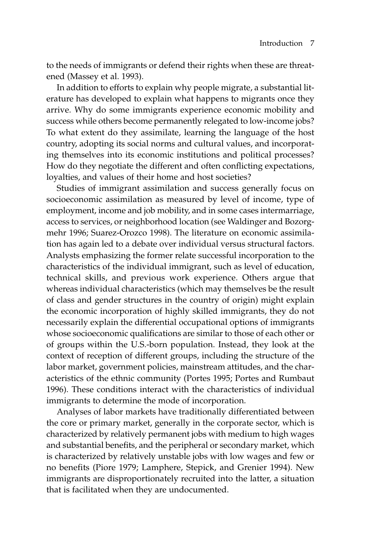to the needs of immigrants or defend their rights when these are threatened (Massey et al. 1993).

In addition to efforts to explain why people migrate, a substantial literature has developed to explain what happens to migrants once they arrive. Why do some immigrants experience economic mobility and success while others become permanently relegated to low-income jobs? To what extent do they assimilate, learning the language of the host country, adopting its social norms and cultural values, and incorporating themselves into its economic institutions and political processes? How do they negotiate the different and often conflicting expectations, loyalties, and values of their home and host societies?

Studies of immigrant assimilation and success generally focus on socioeconomic assimilation as measured by level of income, type of employment, income and job mobility, and in some cases intermarriage, access to services, or neighborhood location (see Waldinger and Bozorgmehr 1996; Suarez-Orozco 1998). The literature on economic assimilation has again led to a debate over individual versus structural factors. Analysts emphasizing the former relate successful incorporation to the characteristics of the individual immigrant, such as level of education, technical skills, and previous work experience. Others argue that whereas individual characteristics (which may themselves be the result of class and gender structures in the country of origin) might explain the economic incorporation of highly skilled immigrants, they do not necessarily explain the differential occupational options of immigrants whose socioeconomic qualifications are similar to those of each other or of groups within the U.S.-born population. Instead, they look at the context of reception of different groups, including the structure of the labor market, government policies, mainstream attitudes, and the characteristics of the ethnic community (Portes 1995; Portes and Rumbaut 1996). These conditions interact with the characteristics of individual immigrants to determine the mode of incorporation.

Analyses of labor markets have traditionally differentiated between the core or primary market, generally in the corporate sector, which is characterized by relatively permanent jobs with medium to high wages and substantial benefits, and the peripheral or secondary market, which is characterized by relatively unstable jobs with low wages and few or no benefits (Piore 1979; Lamphere, Stepick, and Grenier 1994). New immigrants are disproportionately recruited into the latter, a situation that is facilitated when they are undocumented.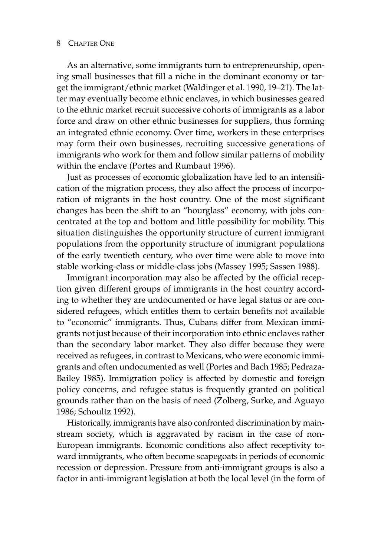As an alternative, some immigrants turn to entrepreneurship, opening small businesses that fill a niche in the dominant economy or target the immigrant/ethnic market (Waldinger et al. 1990, 19–21). The latter may eventually become ethnic enclaves, in which businesses geared to the ethnic market recruit successive cohorts of immigrants as a labor force and draw on other ethnic businesses for suppliers, thus forming an integrated ethnic economy. Over time, workers in these enterprises may form their own businesses, recruiting successive generations of immigrants who work for them and follow similar patterns of mobility within the enclave (Portes and Rumbaut 1996).

Just as processes of economic globalization have led to an intensification of the migration process, they also affect the process of incorporation of migrants in the host country. One of the most significant changes has been the shift to an "hourglass" economy, with jobs concentrated at the top and bottom and little possibility for mobility. This situation distinguishes the opportunity structure of current immigrant populations from the opportunity structure of immigrant populations of the early twentieth century, who over time were able to move into stable working-class or middle-class jobs (Massey 1995; Sassen 1988).

Immigrant incorporation may also be affected by the official reception given different groups of immigrants in the host country according to whether they are undocumented or have legal status or are considered refugees, which entitles them to certain benefits not available to "economic" immigrants. Thus, Cubans differ from Mexican immigrants not just because of their incorporation into ethnic enclaves rather than the secondary labor market. They also differ because they were received as refugees, in contrast to Mexicans, who were economic immigrants and often undocumented as well (Portes and Bach 1985; Pedraza-Bailey 1985). Immigration policy is affected by domestic and foreign policy concerns, and refugee status is frequently granted on political grounds rather than on the basis of need (Zolberg, Surke, and Aguayo 1986; Schoultz 1992).

Historically, immigrants have also confronted discrimination by mainstream society, which is aggravated by racism in the case of non-European immigrants. Economic conditions also affect receptivity toward immigrants, who often become scapegoats in periods of economic recession or depression. Pressure from anti-immigrant groups is also a factor in anti-immigrant legislation at both the local level (in the form of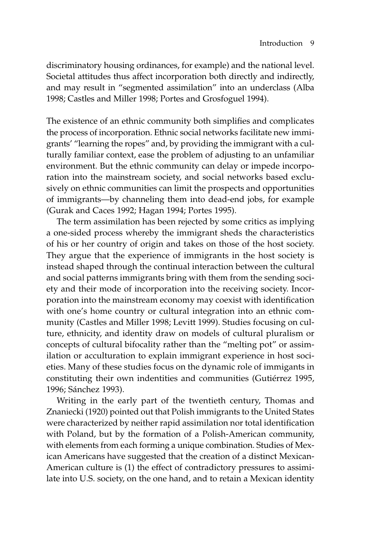discriminatory housing ordinances, for example) and the national level. Societal attitudes thus affect incorporation both directly and indirectly, and may result in "segmented assimilation" into an underclass (Alba 1998; Castles and Miller 1998; Portes and Grosfoguel 1994).

The existence of an ethnic community both simplifies and complicates the process of incorporation. Ethnic social networks facilitate new immigrants' "learning the ropes" and, by providing the immigrant with a culturally familiar context, ease the problem of adjusting to an unfamiliar environment. But the ethnic community can delay or impede incorporation into the mainstream society, and social networks based exclusively on ethnic communities can limit the prospects and opportunities of immigrants—by channeling them into dead-end jobs, for example (Gurak and Caces 1992; Hagan 1994; Portes 1995).

The term assimilation has been rejected by some critics as implying a one-sided process whereby the immigrant sheds the characteristics of his or her country of origin and takes on those of the host society. They argue that the experience of immigrants in the host society is instead shaped through the continual interaction between the cultural and social patterns immigrants bring with them from the sending society and their mode of incorporation into the receiving society. Incorporation into the mainstream economy may coexist with identification with one's home country or cultural integration into an ethnic community (Castles and Miller 1998; Levitt 1999). Studies focusing on culture, ethnicity, and identity draw on models of cultural pluralism or concepts of cultural bifocality rather than the "melting pot" or assimilation or acculturation to explain immigrant experience in host societies. Many of these studies focus on the dynamic role of immigants in constituting their own indentities and communities (Gutiérrez 1995, 1996; Sánchez 1993).

Writing in the early part of the twentieth century, Thomas and Znaniecki (1920) pointed out that Polish immigrants to the United States were characterized by neither rapid assimilation nor total identification with Poland, but by the formation of a Polish-American community, with elements from each forming a unique combination. Studies of Mexican Americans have suggested that the creation of a distinct Mexican-American culture is (1) the effect of contradictory pressures to assimilate into U.S. society, on the one hand, and to retain a Mexican identity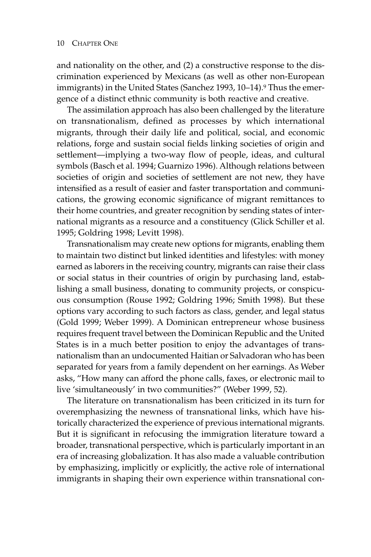and nationality on the other, and (2) a constructive response to the discrimination experienced by Mexicans (as well as other non-European immigrants) in the United States (Sanchez 1993, 10–14).<sup>9</sup> Thus the emergence of a distinct ethnic community is both reactive and creative.

The assimilation approach has also been challenged by the literature on transnationalism, defined as processes by which international migrants, through their daily life and political, social, and economic relations, forge and sustain social fields linking societies of origin and settlement—implying a two-way flow of people, ideas, and cultural symbols (Basch et al. 1994; Guarnizo 1996). Although relations between societies of origin and societies of settlement are not new, they have intensified as a result of easier and faster transportation and communications, the growing economic significance of migrant remittances to their home countries, and greater recognition by sending states of international migrants as a resource and a constituency (Glick Schiller et al. 1995; Goldring 1998; Levitt 1998).

Transnationalism may create new options for migrants, enabling them to maintain two distinct but linked identities and lifestyles: with money earned as laborers in the receiving country, migrants can raise their class or social status in their countries of origin by purchasing land, establishing a small business, donating to community projects, or conspicuous consumption (Rouse 1992; Goldring 1996; Smith 1998). But these options vary according to such factors as class, gender, and legal status (Gold 1999; Weber 1999). A Dominican entrepreneur whose business requires frequent travel between the Dominican Republic and the United States is in a much better position to enjoy the advantages of transnationalism than an undocumented Haitian or Salvadoran who has been separated for years from a family dependent on her earnings. As Weber asks, "How many can afford the phone calls, faxes, or electronic mail to live 'simultaneously' in two communities?" (Weber 1999, 52).

The literature on transnationalism has been criticized in its turn for overemphasizing the newness of transnational links, which have historically characterized the experience of previous international migrants. But it is significant in refocusing the immigration literature toward a broader, transnational perspective, which is particularly important in an era of increasing globalization. It has also made a valuable contribution by emphasizing, implicitly or explicitly, the active role of international immigrants in shaping their own experience within transnational con-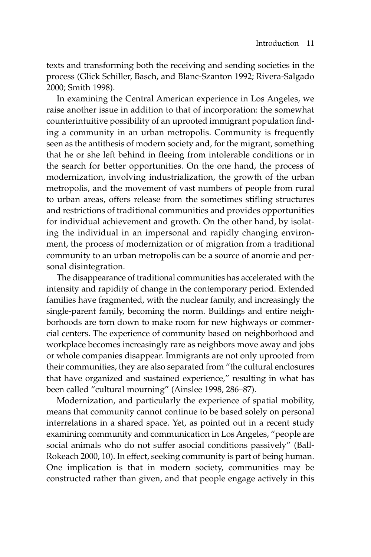texts and transforming both the receiving and sending societies in the process (Glick Schiller, Basch, and Blanc-Szanton 1992; Rivera-Salgado 2000; Smith 1998).

In examining the Central American experience in Los Angeles, we raise another issue in addition to that of incorporation: the somewhat counterintuitive possibility of an uprooted immigrant population finding a community in an urban metropolis. Community is frequently seen as the antithesis of modern society and, for the migrant, something that he or she left behind in fleeing from intolerable conditions or in the search for better opportunities. On the one hand, the process of modernization, involving industrialization, the growth of the urban metropolis, and the movement of vast numbers of people from rural to urban areas, offers release from the sometimes stifling structures and restrictions of traditional communities and provides opportunities for individual achievement and growth. On the other hand, by isolating the individual in an impersonal and rapidly changing environment, the process of modernization or of migration from a traditional community to an urban metropolis can be a source of anomie and personal disintegration.

The disappearance of traditional communities has accelerated with the intensity and rapidity of change in the contemporary period. Extended families have fragmented, with the nuclear family, and increasingly the single-parent family, becoming the norm. Buildings and entire neighborhoods are torn down to make room for new highways or commercial centers. The experience of community based on neighborhood and workplace becomes increasingly rare as neighbors move away and jobs or whole companies disappear. Immigrants are not only uprooted from their communities, they are also separated from "the cultural enclosures that have organized and sustained experience," resulting in what has been called "cultural mourning" (Ainslee 1998, 286–87).

Modernization, and particularly the experience of spatial mobility, means that community cannot continue to be based solely on personal interrelations in a shared space. Yet, as pointed out in a recent study examining community and communication in Los Angeles, "people are social animals who do not suffer asocial conditions passively" (Ball-Rokeach 2000, 10). In effect, seeking community is part of being human. One implication is that in modern society, communities may be constructed rather than given, and that people engage actively in this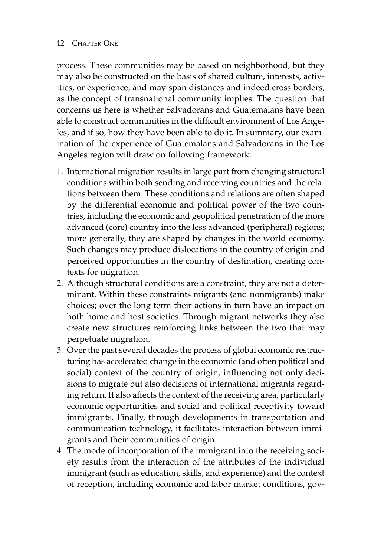process. These communities may be based on neighborhood, but they may also be constructed on the basis of shared culture, interests, activities, or experience, and may span distances and indeed cross borders, as the concept of transnational community implies. The question that concerns us here is whether Salvadorans and Guatemalans have been able to construct communities in the difficult environment of Los Angeles, and if so, how they have been able to do it. In summary, our examination of the experience of Guatemalans and Salvadorans in the Los Angeles region will draw on following framework:

- 1. International migration results in large part from changing structural conditions within both sending and receiving countries and the relations between them. These conditions and relations are often shaped by the differential economic and political power of the two countries, including the economic and geopolitical penetration of the more advanced (core) country into the less advanced (peripheral) regions; more generally, they are shaped by changes in the world economy. Such changes may produce dislocations in the country of origin and perceived opportunities in the country of destination, creating contexts for migration.
- 2. Although structural conditions are a constraint, they are not a determinant. Within these constraints migrants (and nonmigrants) make choices; over the long term their actions in turn have an impact on both home and host societies. Through migrant networks they also create new structures reinforcing links between the two that may perpetuate migration.
- 3. Over the past several decades the process of global economic restructuring has accelerated change in the economic (and often political and social) context of the country of origin, influencing not only decisions to migrate but also decisions of international migrants regarding return. It also affects the context of the receiving area, particularly economic opportunities and social and political receptivity toward immigrants. Finally, through developments in transportation and communication technology, it facilitates interaction between immigrants and their communities of origin.
- 4. The mode of incorporation of the immigrant into the receiving society results from the interaction of the attributes of the individual immigrant (such as education, skills, and experience) and the context of reception, including economic and labor market conditions, gov-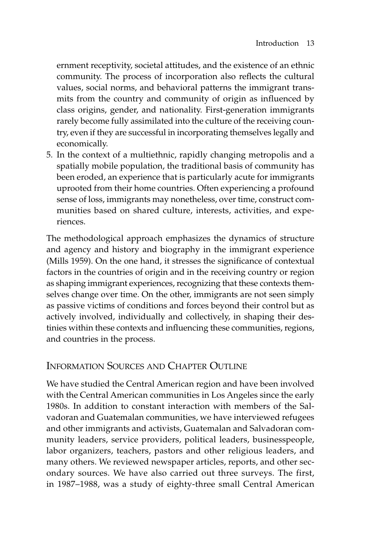ernment receptivity, societal attitudes, and the existence of an ethnic community. The process of incorporation also reflects the cultural values, social norms, and behavioral patterns the immigrant transmits from the country and community of origin as influenced by class origins, gender, and nationality. First-generation immigrants rarely become fully assimilated into the culture of the receiving country, even if they are successful in incorporating themselves legally and economically.

5. In the context of a multiethnic, rapidly changing metropolis and a spatially mobile population, the traditional basis of community has been eroded, an experience that is particularly acute for immigrants uprooted from their home countries. Often experiencing a profound sense of loss, immigrants may nonetheless, over time, construct communities based on shared culture, interests, activities, and experiences.

The methodological approach emphasizes the dynamics of structure and agency and history and biography in the immigrant experience (Mills 1959). On the one hand, it stresses the significance of contextual factors in the countries of origin and in the receiving country or region as shaping immigrant experiences, recognizing that these contexts themselves change over time. On the other, immigrants are not seen simply as passive victims of conditions and forces beyond their control but as actively involved, individually and collectively, in shaping their destinies within these contexts and influencing these communities, regions, and countries in the process.

## INFORMATION SOURCES AND CHAPTER OUTLINE

We have studied the Central American region and have been involved with the Central American communities in Los Angeles since the early 1980s. In addition to constant interaction with members of the Salvadoran and Guatemalan communities, we have interviewed refugees and other immigrants and activists, Guatemalan and Salvadoran community leaders, service providers, political leaders, businesspeople, labor organizers, teachers, pastors and other religious leaders, and many others. We reviewed newspaper articles, reports, and other secondary sources. We have also carried out three surveys. The first, in 1987–1988, was a study of eighty-three small Central American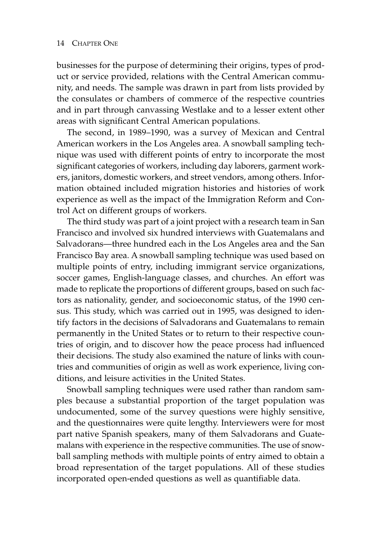businesses for the purpose of determining their origins, types of product or service provided, relations with the Central American community, and needs. The sample was drawn in part from lists provided by the consulates or chambers of commerce of the respective countries and in part through canvassing Westlake and to a lesser extent other areas with significant Central American populations.

The second, in 1989–1990, was a survey of Mexican and Central American workers in the Los Angeles area. A snowball sampling technique was used with different points of entry to incorporate the most significant categories of workers, including day laborers, garment workers, janitors, domestic workers, and street vendors, among others. Information obtained included migration histories and histories of work experience as well as the impact of the Immigration Reform and Control Act on different groups of workers.

The third study was part of a joint project with a research team in San Francisco and involved six hundred interviews with Guatemalans and Salvadorans—three hundred each in the Los Angeles area and the San Francisco Bay area. A snowball sampling technique was used based on multiple points of entry, including immigrant service organizations, soccer games, English-language classes, and churches. An effort was made to replicate the proportions of different groups, based on such factors as nationality, gender, and socioeconomic status, of the 1990 census. This study, which was carried out in 1995, was designed to identify factors in the decisions of Salvadorans and Guatemalans to remain permanently in the United States or to return to their respective countries of origin, and to discover how the peace process had influenced their decisions. The study also examined the nature of links with countries and communities of origin as well as work experience, living conditions, and leisure activities in the United States.

Snowball sampling techniques were used rather than random samples because a substantial proportion of the target population was undocumented, some of the survey questions were highly sensitive, and the questionnaires were quite lengthy. Interviewers were for most part native Spanish speakers, many of them Salvadorans and Guatemalans with experience in the respective communities. The use of snowball sampling methods with multiple points of entry aimed to obtain a broad representation of the target populations. All of these studies incorporated open-ended questions as well as quantifiable data.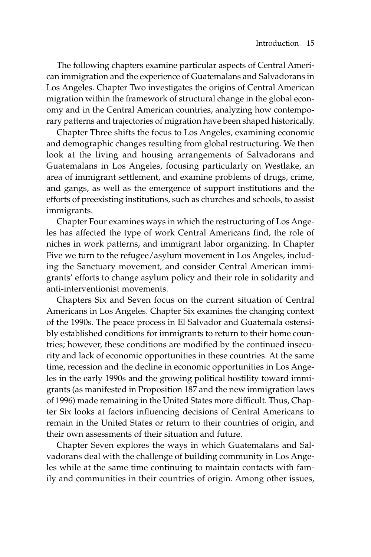The following chapters examine particular aspects of Central American immigration and the experience of Guatemalans and Salvadorans in Los Angeles. Chapter Two investigates the origins of Central American migration within the framework of structural change in the global economy and in the Central American countries, analyzing how contemporary patterns and trajectories of migration have been shaped historically.

Chapter Three shifts the focus to Los Angeles, examining economic and demographic changes resulting from global restructuring. We then look at the living and housing arrangements of Salvadorans and Guatemalans in Los Angeles, focusing particularly on Westlake, an area of immigrant settlement, and examine problems of drugs, crime, and gangs, as well as the emergence of support institutions and the efforts of preexisting institutions, such as churches and schools, to assist immigrants.

Chapter Four examines ways in which the restructuring of Los Angeles has affected the type of work Central Americans find, the role of niches in work patterns, and immigrant labor organizing. In Chapter Five we turn to the refugee/asylum movement in Los Angeles, including the Sanctuary movement, and consider Central American immigrants' efforts to change asylum policy and their role in solidarity and anti-interventionist movements.

Chapters Six and Seven focus on the current situation of Central Americans in Los Angeles. Chapter Six examines the changing context of the 1990s. The peace process in El Salvador and Guatemala ostensibly established conditions for immigrants to return to their home countries; however, these conditions are modified by the continued insecurity and lack of economic opportunities in these countries. At the same time, recession and the decline in economic opportunities in Los Angeles in the early 1990s and the growing political hostility toward immigrants (as manifested in Proposition 187 and the new immigration laws of 1996) made remaining in the United States more difficult. Thus, Chapter Six looks at factors influencing decisions of Central Americans to remain in the United States or return to their countries of origin, and their own assessments of their situation and future.

Chapter Seven explores the ways in which Guatemalans and Salvadorans deal with the challenge of building community in Los Angeles while at the same time continuing to maintain contacts with family and communities in their countries of origin. Among other issues,